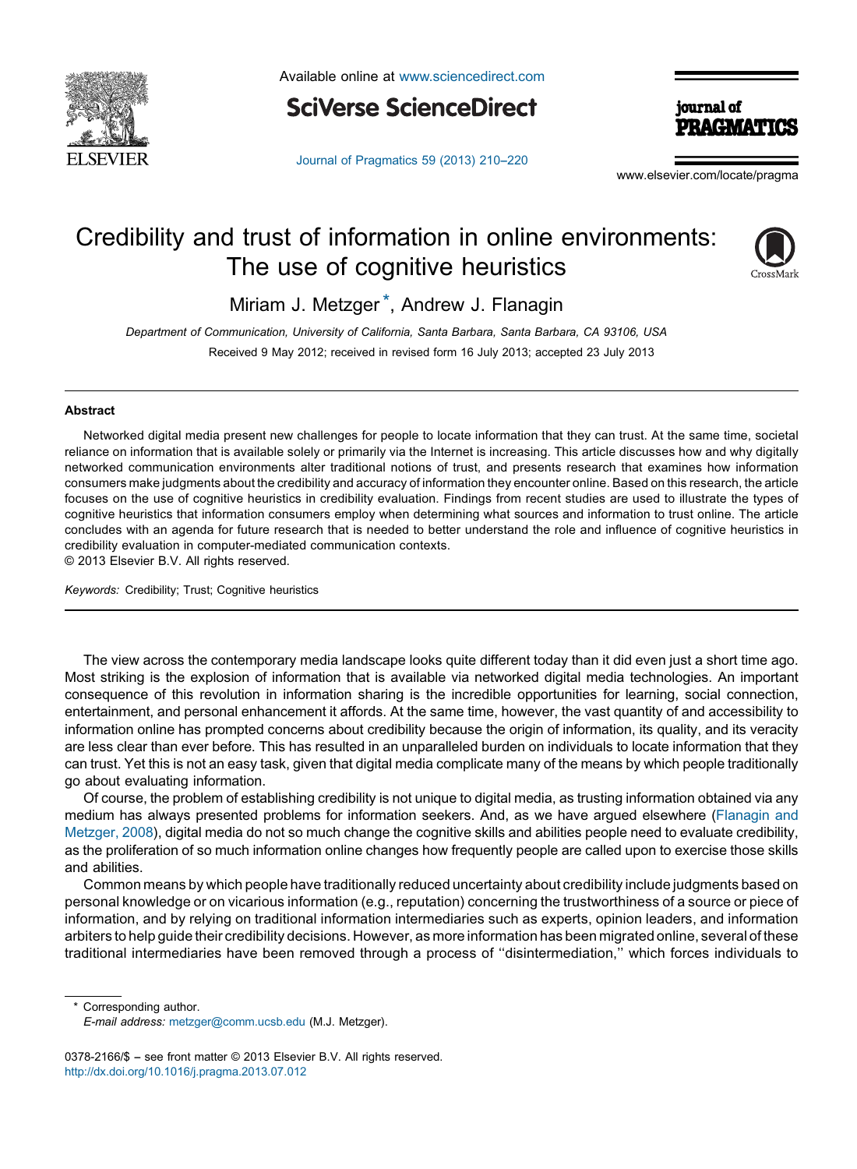

Available online at [www.sciencedirect.com](http://www.sciencedirect.com/science/journal/03782166)

**SciVerse ScienceDirect** 

Journal of [Pragmatics](http://dx.doi.org/10.1016/j.pragma.2013.07.012) 59 (2013) 210-220



www.elsevier.com/locate/pragma

# Credibility and trust of information in online environments: The use of cognitive heuristics



Miriam J. Metzger\*, Andrew J. Flanagin

Department of Communication, University of California, Santa Barbara, Santa Barbara, CA 93106, USA Received 9 May 2012; received in revised form 16 July 2013; accepted 23 July 2013

## **Abstract**

Networked digital media present new challenges for people to locate information that they can trust. At the same time, societal reliance on information that is available solely or primarily via the Internet is increasing. This article discusses how and why digitally networked communication environments alter traditional notions of trust, and presents research that examines how information consumers make judgments about the credibility and accuracy of information they encounter online. Based on this research, the article focuses on the use of cognitive heuristics in credibility evaluation. Findings from recent studies are used to illustrate the types of cognitive heuristics that information consumers employ when determining what sources and information to trust online. The article concludes with an agenda for future research that is needed to better understand the role and influence of cognitive heuristics in credibility evaluation in computer-mediated communication contexts.

© 2013 Elsevier B.V. All rights reserved.

Keywords: Credibility; Trust; Cognitive heuristics

The view across the contemporary media landscape looks quite different today than it did even just a short time ago. Most striking is the explosion of information that is available via networked digital media technologies. An important consequence of this revolution in information sharing is the incredible opportunities for learning, social connection, entertainment, and personal enhancement it affords. At the same time, however, the vast quantity of and accessibility to information online has prompted concerns about credibility because the origin of information, its quality, and its veracity are less clear than ever before. This has resulted in an unparalleled burden on individuals to locate information that they can trust. Yet this is not an easy task, given that digital media complicate many of the means by which people traditionally go about evaluating information.

Of course, the problem of establishing credibility is not unique to digital media, as trusting information obtained via any medium has always presented problems for information seekers. And, as we have argued elsewhere [\(Flanagin](#page-9-0) and [Metzger,](#page-9-0) 2008), digital media do not so much change the cognitive skills and abilities people need to evaluate credibility, as the proliferation of so much information online changes how frequently people are called upon to exercise those skills and abilities.

Common means by which people have traditionally reduced uncertainty about credibility include judgments based on personal knowledge or on vicarious information (e.g., reputation) concerning the trustworthiness of a source or piece of information, and by relying on traditional information intermediaries such as experts, opinion leaders, and information arbiters to help guide their credibility decisions. However, as more information has been migrated online, several of these traditional intermediaries have been removed through a process of ''disintermediation,'' which forces individuals to

Corresponding author. E-mail address: [metzger@comm.ucsb.edu](mailto:metzger@comm.ucsb.edu) (M.J. Metzger).

0378-2166/\$ - see front matter © 2013 Elsevier B.V. All rights reserved. <http://dx.doi.org/10.1016/j.pragma.2013.07.012>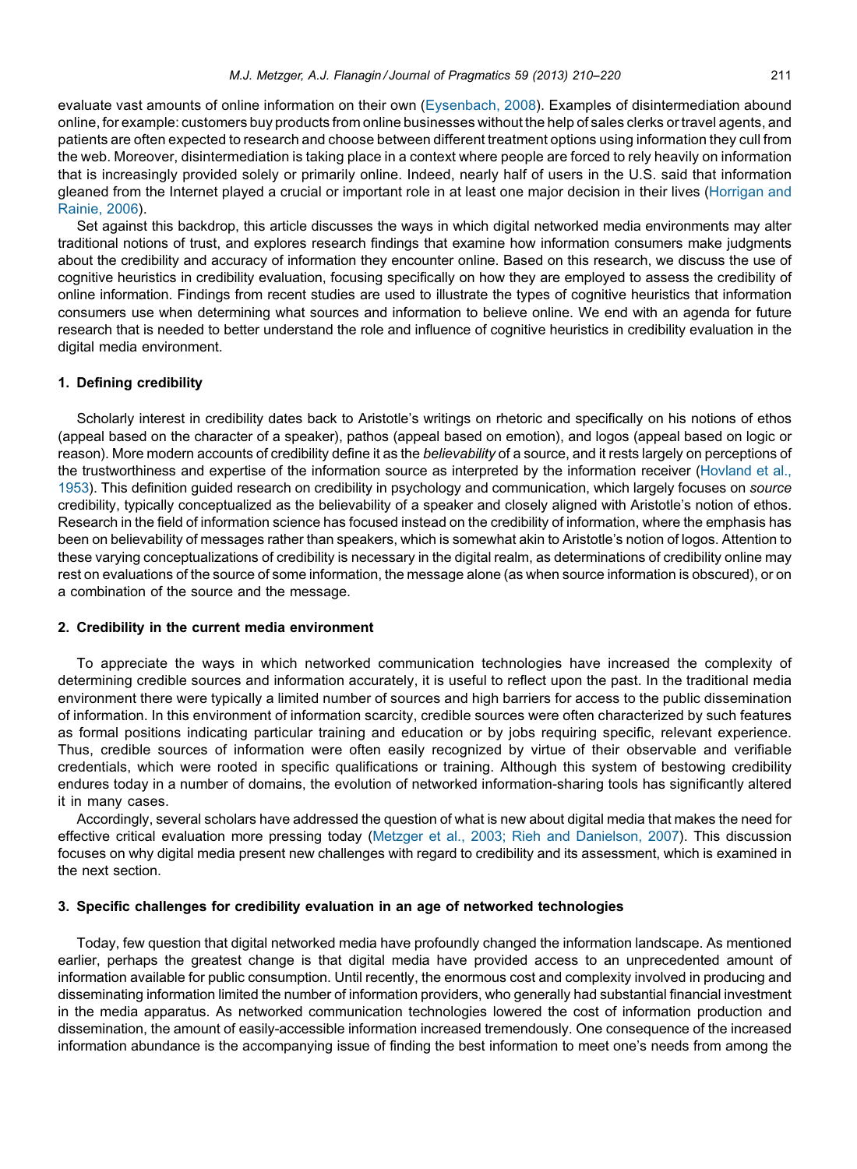evaluate vast amounts of online information on their own [\(Eysenbach,](#page-9-0) 2008). Examples of disintermediation abound online, for example: customers buy products from online businesses without the help of sales clerks or travel agents, and patients are often expected to research and choose between different treatment options using information they cull from the web. Moreover, disintermediation is taking place in a context where people are forced to rely heavily on information that is increasingly provided solely or primarily online. Indeed, nearly half of users in the U.S. said that information gleaned from the Internet played a crucial or important role in at least one major decision in their lives ([Horrigan](#page-9-0) and [Rainie,](#page-9-0) 2006).

Set against this backdrop, this article discusses the ways in which digital networked media environments may alter traditional notions of trust, and explores research findings that examine how information consumers make judgments about the credibility and accuracy of information they encounter online. Based on this research, we discuss the use of cognitive heuristics in credibility evaluation, focusing specifically on how they are employed to assess the credibility of online information. Findings from recent studies are used to illustrate the types of cognitive heuristics that information consumers use when determining what sources and information to believe online. We end with an agenda for future research that is needed to better understand the role and influence of cognitive heuristics in credibility evaluation in the digital media environment.

# 1. Defining credibility

Scholarly interest in credibility dates back to Aristotle's writings on rhetoric and specifically on his notions of ethos (appeal based on the character of a speaker), pathos (appeal based on emotion), and logos (appeal based on logic or reason). More modern accounts of credibility define it as the believability of a source, and it rests largely on perceptions of the trustworthiness and expertise of the information source as interpreted by the information receiver [\(Hovland](#page-9-0) et al., [1953\)](#page-9-0). This definition guided research on credibility in psychology and communication, which largely focuses on source credibility, typically conceptualized as the believability of a speaker and closely aligned with Aristotle's notion of ethos. Research in the field of information science has focused instead on the credibility of information, where the emphasis has been on believability of messages rather than speakers, which is somewhat akin to Aristotle's notion of logos. Attention to these varying conceptualizations of credibility is necessary in the digital realm, as determinations of credibility online may rest on evaluations of the source of some information, the message alone (as when source information is obscured), or on a combination of the source and the message.

# 2. Credibility in the current media environment

To appreciate the ways in which networked communication technologies have increased the complexity of determining credible sources and information accurately, it is useful to reflect upon the past. In the traditional media environment there were typically a limited number of sources and high barriers for access to the public dissemination of information. In this environment of information scarcity, credible sources were often characterized by such features as formal positions indicating particular training and education or by jobs requiring specific, relevant experience. Thus, credible sources of information were often easily recognized by virtue of their observable and verifiable credentials, which were rooted in specific qualifications or training. Although this system of bestowing credibility endures today in a number of domains, the evolution of networked information-sharing tools has significantly altered it in many cases.

Accordingly, several scholars have addressed the question of what is new about digital media that makes the need for effective critical evaluation more pressing today (Metzger et al., 2003; Rieh and [Danielson,](#page-9-0) 2007). This discussion focuses on why digital media present new challenges with regard to credibility and its assessment, which is examined in the next section.

# 3. Specific challenges for credibility evaluation in an age of networked technologies

Today, few question that digital networked media have profoundly changed the information landscape. As mentioned earlier, perhaps the greatest change is that digital media have provided access to an unprecedented amount of information available for public consumption. Until recently, the enormous cost and complexity involved in producing and disseminating information limited the number of information providers, who generally had substantial financial investment in the media apparatus. As networked communication technologies lowered the cost of information production and dissemination, the amount of easily-accessible information increased tremendously. One consequence of the increased information abundance is the accompanying issue of finding the best information to meet one's needs from among the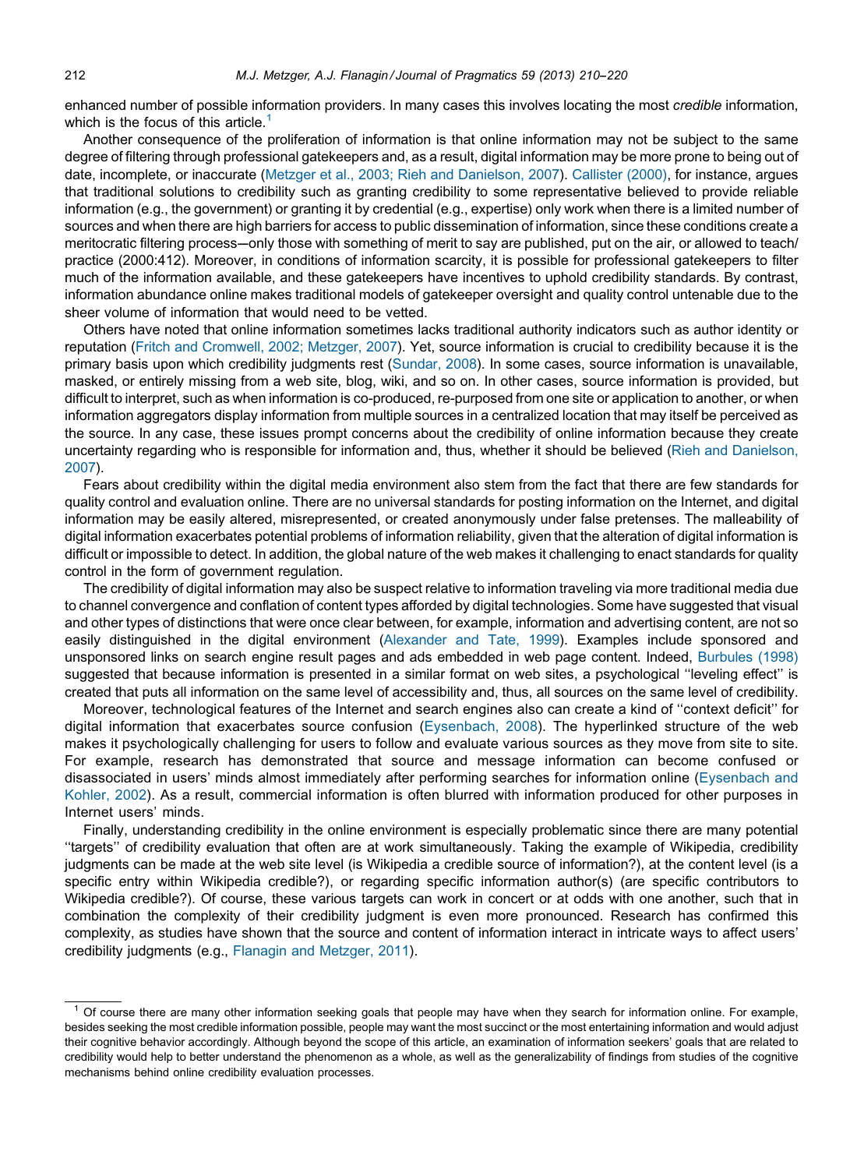enhanced number of possible information providers. In many cases this involves locating the most *credible* information, which is the focus of this article.<sup>1</sup>

Another consequence of the proliferation of information is that online information may not be subject to the same degree of filtering through professional gatekeepers and, as a result, digital information may be more prone to being out of date, incomplete, or inaccurate (Metzger et al., 2003; Rieh and [Danielson,](#page-9-0) 2007). [Callister](#page-9-0) (2000), for instance, argues that traditional solutions to credibility such as granting credibility to some representative believed to provide reliable information (e.g., the government) or granting it by credential (e.g., expertise) only work when there is a limited number of sources and when there are high barriers for access to public dissemination of information, since these conditions create a meritocratic filtering process-only those with something of merit to say are published, put on the air, or allowed to teach/ practice (2000:412). Moreover, in conditions of information scarcity, it is possible for professional gatekeepers to filter much of the information available, and these gatekeepers have incentives to uphold credibility standards. By contrast, information abundance online makes traditional models of gatekeeper oversight and quality control untenable due to the sheer volume of information that would need to be vetted.

Others have noted that online information sometimes lacks traditional authority indicators such as author identity or reputation (Fritch and [Cromwell,](#page-9-0) 2002; Metzger, 2007). Yet, source information is crucial to credibility because it is the primary basis upon which credibility judgments rest [\(Sundar,](#page-10-0) 2008). In some cases, source information is unavailable, masked, or entirely missing from a web site, blog, wiki, and so on. In other cases, source information is provided, but difficult to interpret, such as when information is co-produced, re-purposed from one site or application to another, or when information aggregators display information from multiple sources in a centralized location that may itself be perceived as the source. In any case, these issues prompt concerns about the credibility of online information because they create uncertainty regarding who is responsible for information and, thus, whether it should be believed (Rieh and [Danielson,](#page-9-0) [2007\)](#page-9-0).

Fears about credibility within the digital media environment also stem from the fact that there are few standards for quality control and evaluation online. There are no universal standards for posting information on the Internet, and digital information may be easily altered, misrepresented, or created anonymously under false pretenses. The malleability of digital information exacerbates potential problems of information reliability, given that the alteration of digital information is difficult or impossible to detect. In addition, the global nature of the web makes it challenging to enact standards for quality control in the form of government regulation.

The credibility of digital information may also be suspect relative to information traveling via more traditional media due to channel convergence and conflation of content types afforded by digital technologies. Some have suggested that visual and other types of distinctions that were once clear between, for example, information and advertising content, are not so easily distinguished in the digital environment ([Alexander](#page-9-0) and Tate, 1999). Examples include sponsored and unsponsored links on search engine result pages and ads embedded in web page content. Indeed, [Burbules](#page-9-0) (1998) suggested that because information is presented in a similar format on web sites, a psychological ''leveling effect'' is created that puts all information on the same level of accessibility and, thus, all sources on the same level of credibility.

Moreover, technological features of the Internet and search engines also can create a kind of ''context deficit'' for digital information that exacerbates source confusion ([Eysenbach,](#page-9-0) 2008). The hyperlinked structure of the web makes it psychologically challenging for users to follow and evaluate various sources as they move from site to site. For example, research has demonstrated that source and message information can become confused or disassociated in users' minds almost immediately after performing searches for information online [\(Eysenbach](#page-9-0) and [Kohler,](#page-9-0) 2002). As a result, commercial information is often blurred with information produced for other purposes in Internet users' minds.

Finally, understanding credibility in the online environment is especially problematic since there are many potential ''targets'' of credibility evaluation that often are at work simultaneously. Taking the example of Wikipedia, credibility judgments can be made at the web site level (is Wikipedia a credible source of information?), at the content level (is a specific entry within Wikipedia credible?), or regarding specific information author(s) (are specific contributors to Wikipedia credible?). Of course, these various targets can work in concert or at odds with one another, such that in combination the complexity of their credibility judgment is even more pronounced. Research has confirmed this complexity, as studies have shown that the source and content of information interact in intricate ways to affect users' credibility judgments (e.g., Flanagin and [Metzger,](#page-9-0) 2011).

<sup>1</sup> Of course there are many other information seeking goals that people may have when they search for information online. For example, besides seeking the most credible information possible, people may want the most succinct or the most entertaining information and would adjust their cognitive behavior accordingly. Although beyond the scope of this article, an examination of information seekers' goals that are related to credibility would help to better understand the phenomenon as a whole, as well as the generalizability of findings from studies of the cognitive mechanisms behind online credibility evaluation processes.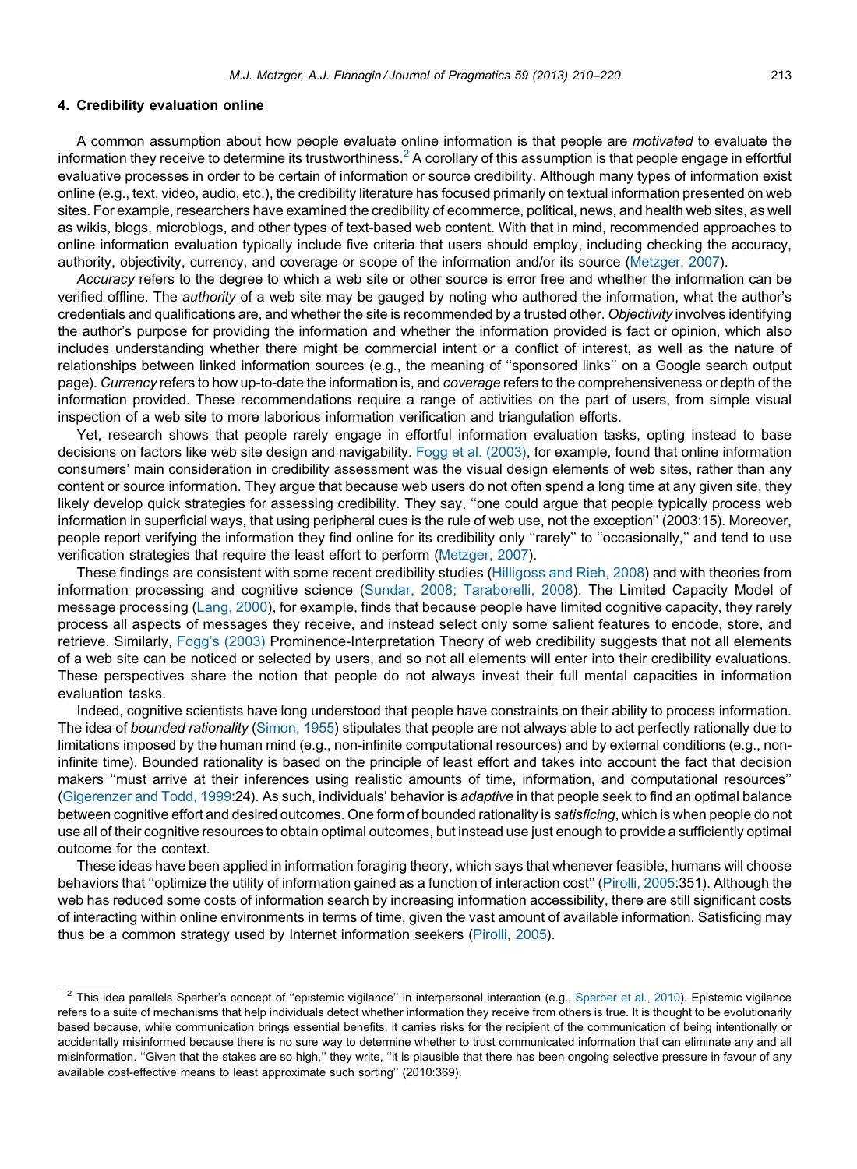#### 4. Credibility evaluation online

A common assumption about how people evaluate online information is that people are motivated to evaluate the information they receive to determine its trustworthiness.<sup>2</sup> A corollary of this assumption is that people engage in effortful evaluative processes in order to be certain of information or source credibility. Although many types of information exist online (e.g., text, video, audio, etc.), the credibility literature has focused primarily on textual information presented on web sites. For example, researchers have examined the credibility of ecommerce, political, news, and health web sites, as well as wikis, blogs, microblogs, and other types of text-based web content. With that in mind, recommended approaches to online information evaluation typically include five criteria that users should employ, including checking the accuracy, authority, objectivity, currency, and coverage or scope of the information and/or its source [\(Metzger,](#page-9-0) 2007).

Accuracy refers to the degree to which a web site or other source is error free and whether the information can be verified offline. The *authority* of a web site may be gauged by noting who authored the information, what the author's credentials and qualifications are, and whether the site is recommended by a trusted other. Objectivity involves identifying the author's purpose for providing the information and whether the information provided is fact or opinion, which also includes understanding whether there might be commercial intent or a conflict of interest, as well as the nature of relationships between linked information sources (e.g., the meaning of ''sponsored links'' on a Google search output page). Currency refers to how up-to-date the information is, and coverage refers to the comprehensiveness or depth of the information provided. These recommendations require a range of activities on the part of users, from simple visual inspection of a web site to more laborious information verification and triangulation efforts.

Yet, research shows that people rarely engage in effortful information evaluation tasks, opting instead to base decisions on factors like web site design and navigability. Fogg et al. [\(2003\),](#page-9-0) for example, found that online information consumers' main consideration in credibility assessment was the visual design elements of web sites, rather than any content or source information. They argue that because web users do not often spend a long time at any given site, they likely develop quick strategies for assessing credibility. They say, ''one could argue that people typically process web information in superficial ways, that using peripheral cues is the rule of web use, not the exception'' (2003:15). Moreover, people report verifying the information they find online for its credibility only ''rarely'' to ''occasionally,'' and tend to use verification strategies that require the least effort to perform ([Metzger,](#page-9-0) 2007).

These findings are consistent with some recent credibility studies ([Hilligoss](#page-9-0) and Rieh, 2008) and with theories from information processing and cognitive science (Sundar, 2008; [Taraborelli,](#page-10-0) 2008). The Limited Capacity Model of message processing ([Lang,](#page-9-0) 2000), for example, finds that because people have limited cognitive capacity, they rarely process all aspects of messages they receive, and instead select only some salient features to encode, store, and retrieve. Similarly, Fogg's [\(2003\)](#page-9-0) Prominence-Interpretation Theory of web credibility suggests that not all elements of a web site can be noticed or selected by users, and so not all elements will enter into their credibility evaluations. These perspectives share the notion that people do not always invest their full mental capacities in information evaluation tasks.

Indeed, cognitive scientists have long understood that people have constraints on their ability to process information. The idea of bounded rationality ([Simon,](#page-9-0) 1955) stipulates that people are not always able to act perfectly rationally due to limitations imposed by the human mind (e.g., non-infinite computational resources) and by external conditions (e.g., noninfinite time). Bounded rationality is based on the principle of least effort and takes into account the fact that decision makers ''must arrive at their inferences using realistic amounts of time, information, and computational resources'' ([Gigerenzer](#page-9-0) and Todd, 1999:24). As such, individuals' behavior is adaptive in that people seek to find an optimal balance between cognitive effort and desired outcomes. One form of bounded rationality is satisficing, which is when people do not use all of their cognitive resources to obtain optimal outcomes, but instead use just enough to provide a sufficiently optimal outcome for the context.

These ideas have been applied in information foraging theory, which says that whenever feasible, humans will choose behaviors that ''optimize the utility of information gained as a function of interaction cost'' [\(Pirolli,](#page-9-0) 2005:351). Although the web has reduced some costs of information search by increasing information accessibility, there are still significant costs of interacting within online environments in terms of time, given the vast amount of available information. Satisficing may thus be a common strategy used by Internet information seekers ([Pirolli,](#page-9-0) 2005).

<sup>&</sup>lt;sup>2</sup> This idea parallels [Sperber](#page-9-0)'s concept of "epistemic vigilance" in interpersonal interaction (e.g., Sperber et al., 2010). Epistemic vigilance refers to a suite of mechanisms that help individuals detect whether information they receive from others is true. It is thought to be evolutionarily based because, while communication brings essential benefits, it carries risks for the recipient of the communication of being intentionally or accidentally misinformed because there is no sure way to determine whether to trust communicated information that can eliminate any and all misinformation. ''Given that the stakes are so high,'' they write, ''it is plausible that there has been ongoing selective pressure in favour of any available cost-effective means to least approximate such sorting'' (2010:369).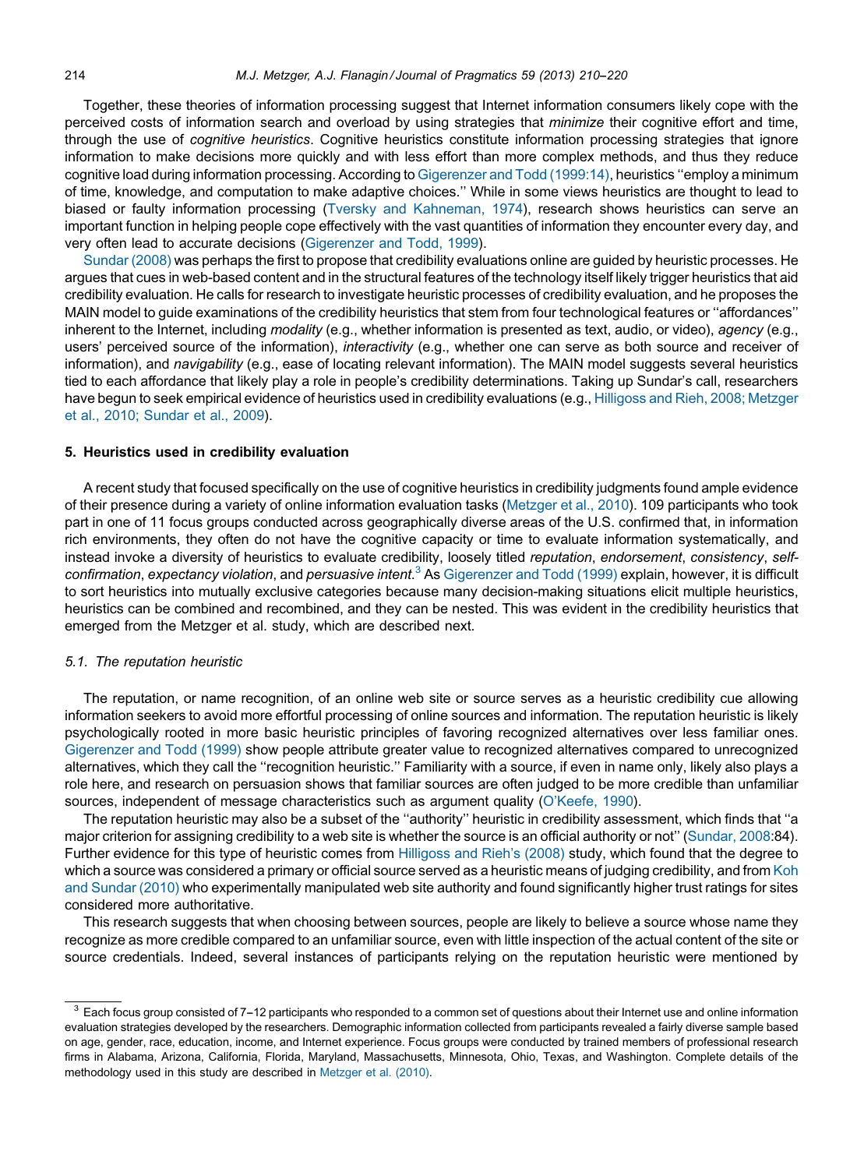Together, these theories of information processing suggest that Internet information consumers likely cope with the perceived costs of information search and overload by using strategies that minimize their cognitive effort and time, through the use of *cognitive heuristics*. Cognitive heuristics constitute information processing strategies that ignore information to make decisions more quickly and with less effort than more complex methods, and thus they reduce cognitive load during information processing. According to [Gigerenzer](#page-9-0) and Todd (1999:14), heuristics ''employ a minimum of time, knowledge, and computation to make adaptive choices.'' While in some views heuristics are thought to lead to biased or faulty information processing (Tversky and [Kahneman,](#page-10-0) 1974), research shows heuristics can serve an important function in helping people cope effectively with the vast quantities of information they encounter every day, and very often lead to accurate decisions ([Gigerenzer](#page-9-0) and Todd, 1999).

[Sundar](#page-10-0) (2008) was perhaps the first to propose that credibility evaluations online are guided by heuristic processes. He argues that cues in web-based content and in the structural features of the technology itself likely trigger heuristics that aid credibility evaluation. He calls for research to investigate heuristic processes of credibility evaluation, and he proposes the MAIN model to guide examinations of the credibility heuristics that stem from four technological features or ''affordances'' inherent to the Internet, including *modality* (e.g., whether information is presented as text, audio, or video), agency (e.g., users' perceived source of the information), interactivity (e.g., whether one can serve as both source and receiver of information), and *navigability* (e.g., ease of locating relevant information). The MAIN model suggests several heuristics tied to each affordance that likely play a role in people's credibility determinations. Taking up Sundar's call, researchers have begun to seek empirical evidence of heuristics used in credibility evaluations (e.g., [Hilligoss](#page-9-0) and Rieh, 2008; Metzger et al., 2010; [Sundar](#page-9-0) et al., 2009).

#### 5. Heuristics used in credibility evaluation

A recent study that focused specifically on the use of cognitive heuristics in credibility judgments found ample evidence of their presence during a variety of online information evaluation tasks ([Metzger](#page-9-0) et al., 2010). 109 participants who took part in one of 11 focus groups conducted across geographically diverse areas of the U.S. confirmed that, in information rich environments, they often do not have the cognitive capacity or time to evaluate information systematically, and instead invoke a diversity of heuristics to evaluate credibility, loosely titled reputation, endorsement, consistency, self-confirmation, expectancy violation, and persuasive intent.<sup>3</sup> As [Gigerenzer](#page-9-0) and Todd (1999) explain, however, it is difficult to sort heuristics into mutually exclusive categories because many decision-making situations elicit multiple heuristics, heuristics can be combined and recombined, and they can be nested. This was evident in the credibility heuristics that emerged from the Metzger et al. study, which are described next.

## 5.1. The reputation heuristic

The reputation, or name recognition, of an online web site or source serves as a heuristic credibility cue allowing information seekers to avoid more effortful processing of online sources and information. The reputation heuristic is likely psychologically rooted in more basic heuristic principles of favoring recognized alternatives over less familiar ones. [Gigerenzer](#page-9-0) and Todd (1999) show people attribute greater value to recognized alternatives compared to unrecognized alternatives, which they call the ''recognition heuristic.'' Familiarity with a source, if even in name only, likely also plays a role here, and research on persuasion shows that familiar sources are often judged to be more credible than unfamiliar sources, independent of message characteristics such as argument quality (O'[Keefe,](#page-9-0) 1990).

The reputation heuristic may also be a subset of the ''authority'' heuristic in credibility assessment, which finds that ''a major criterion for assigning credibility to a web site is whether the source is an official authority or not'' ([Sundar,](#page-10-0) 2008:84). Further evidence for this type of heuristic comes from [Hilligoss](#page-9-0) and Rieh's (2008) study, which found that the degree to which a source was considered a primary or official source served as a heuristic means of judging credibility, and from [Koh](#page-9-0) and [Sundar](#page-9-0) (2010) who experimentally manipulated web site authority and found significantly higher trust ratings for sites considered more authoritative.

This research suggests that when choosing between sources, people are likely to believe a source whose name they recognize as more credible compared to an unfamiliar source, even with little inspection of the actual content of the site or source credentials. Indeed, several instances of participants relying on the reputation heuristic were mentioned by

 $3$  Each focus group consisted of  $7-12$  participants who responded to a common set of questions about their Internet use and online information evaluation strategies developed by the researchers. Demographic information collected from participants revealed a fairly diverse sample based on age, gender, race, education, income, and Internet experience. Focus groups were conducted by trained members of professional research firms in Alabama, Arizona, California, Florida, Maryland, Massachusetts, Minnesota, Ohio, Texas, and Washington. Complete details of the methodology used in this study are described in [Metzger](#page-9-0) et al. (2010).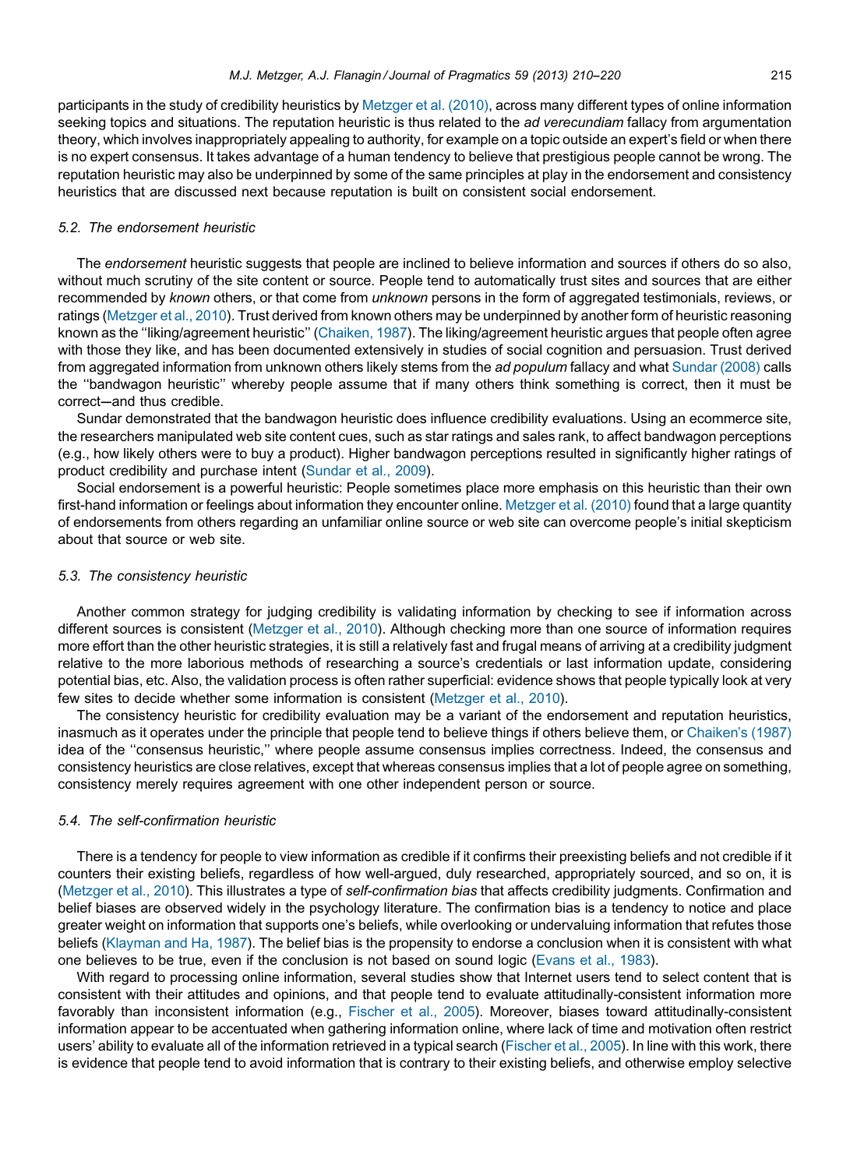participants in the study of credibility heuristics by [Metzger](#page-9-0) et al. (2010), across many different types of online information seeking topics and situations. The reputation heuristic is thus related to the ad verecundiam fallacy from argumentation theory, which involves inappropriately appealing to authority, for example on a topic outside an expert's field or when there is no expert consensus. It takes advantage of a human tendency to believe that prestigious people cannot be wrong. The reputation heuristic may also be underpinned by some of the same principles at play in the endorsement and consistency heuristics that are discussed next because reputation is built on consistent social endorsement.

## 5.2. The endorsement heuristic

The endorsement heuristic suggests that people are inclined to believe information and sources if others do so also, without much scrutiny of the site content or source. People tend to automatically trust sites and sources that are either recommended by known others, or that come from unknown persons in the form of aggregated testimonials, reviews, or ratings [\(Metzger](#page-9-0) et al., 2010). Trust derived from known others may be underpinned by another form of heuristic reasoning known as the ''liking/agreement heuristic'' [\(Chaiken,](#page-9-0) 1987). The liking/agreement heuristic argues that people often agree with those they like, and has been documented extensively in studies of social cognition and persuasion. Trust derived from aggregated information from unknown others likely stems from the ad populum fallacy and what [Sundar](#page-10-0) (2008) calls the ''bandwagon heuristic'' whereby people assume that if many others think something is correct, then it must be correct--and thus credible.

Sundar demonstrated that the bandwagon heuristic does influence credibility evaluations. Using an ecommerce site, the researchers manipulated web site content cues, such as star ratings and sales rank, to affect bandwagon perceptions (e.g., how likely others were to buy a product). Higher bandwagon perceptions resulted in significantly higher ratings of product credibility and purchase intent [\(Sundar](#page-10-0) et al., 2009).

Social endorsement is a powerful heuristic: People sometimes place more emphasis on this heuristic than their own first-hand information or feelings about information they encounter online. [Metzger](#page-9-0) et al. (2010) found that a large quantity of endorsements from others regarding an unfamiliar online source or web site can overcome people's initial skepticism about that source or web site.

#### 5.3. The consistency heuristic

Another common strategy for judging credibility is validating information by checking to see if information across different sources is consistent ([Metzger](#page-9-0) et al., 2010). Although checking more than one source of information requires more effort than the other heuristic strategies, it is still a relatively fast and frugal means of arriving at a credibility judgment relative to the more laborious methods of researching a source's credentials or last information update, considering potential bias, etc. Also, the validation process is often rather superficial: evidence shows that people typically look at very few sites to decide whether some information is consistent ([Metzger](#page-9-0) et al., 2010).

The consistency heuristic for credibility evaluation may be a variant of the endorsement and reputation heuristics, inasmuch as it operates under the principle that people tend to believe things if others believe them, or [Chaiken](#page-9-0)'s (1987) idea of the ''consensus heuristic,'' where people assume consensus implies correctness. Indeed, the consensus and consistency heuristics are close relatives, except that whereas consensus implies that a lot of people agree on something, consistency merely requires agreement with one other independent person or source.

## 5.4. The self-confirmation heuristic

There is a tendency for people to view information as credible if it confirms their preexisting beliefs and not credible if it counters their existing beliefs, regardless of how well-argued, duly researched, appropriately sourced, and so on, it is ([Metzger](#page-9-0) et al., 2010). This illustrates a type of self-confirmation bias that affects credibility judgments. Confirmation and belief biases are observed widely in the psychology literature. The confirmation bias is a tendency to notice and place greater weight on information that supports one's beliefs, while overlooking or undervaluing information that refutes those beliefs ([Klayman](#page-9-0) and Ha, 1987). The belief bias is the propensity to endorse a conclusion when it is consistent with what one believes to be true, even if the conclusion is not based on sound logic ([Evans](#page-9-0) et al., 1983).

With regard to processing online information, several studies show that Internet users tend to select content that is consistent with their attitudes and opinions, and that people tend to evaluate attitudinally-consistent information more favorably than inconsistent information (e.g., [Fischer](#page-9-0) et al., 2005). Moreover, biases toward attitudinally-consistent information appear to be accentuated when gathering information online, where lack of time and motivation often restrict users' ability to evaluate all of the information retrieved in a typical search [\(Fischer](#page-9-0) et al., 2005). In line with this work, there is evidence that people tend to avoid information that is contrary to their existing beliefs, and otherwise employ selective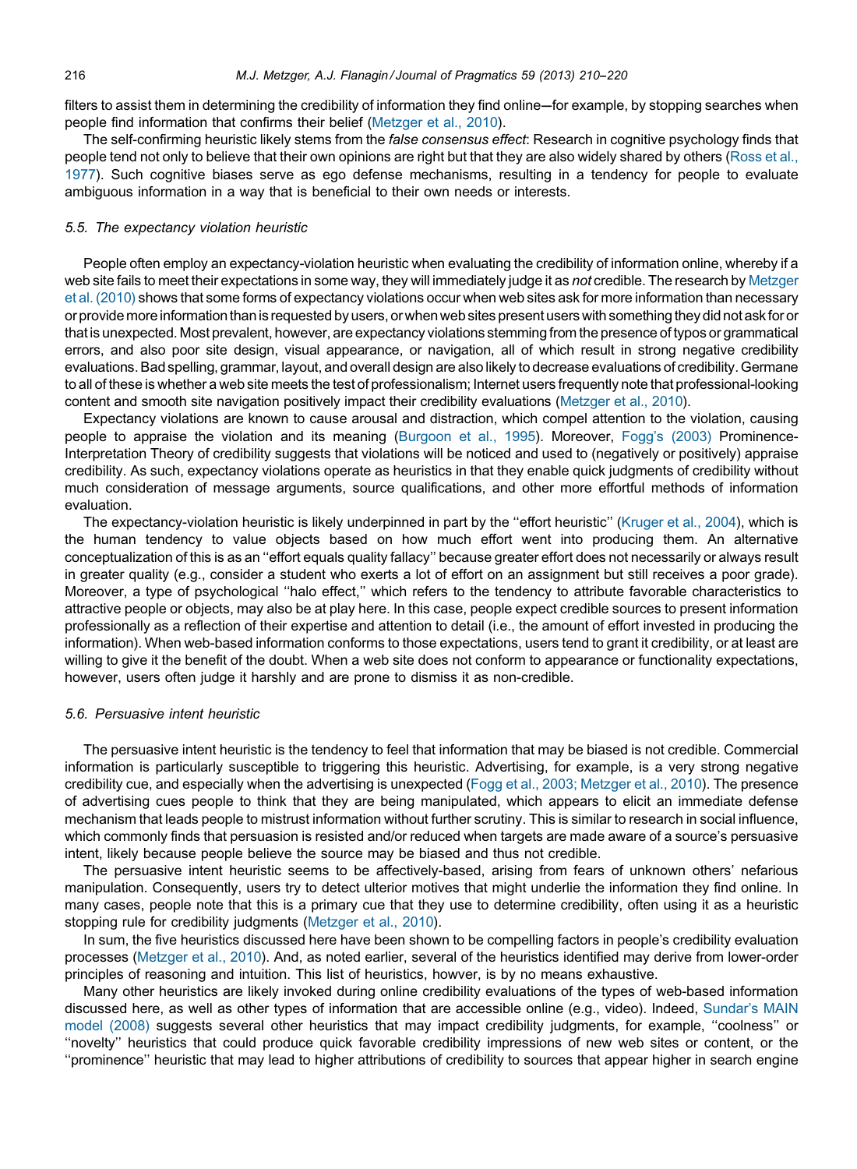filters to assist them in determining the credibility of information they find online-for example, by stopping searches when people find information that confirms their belief [\(Metzger](#page-9-0) et al., 2010).

The self-confirming heuristic likely stems from the false consensus effect: Research in cognitive psychology finds that people tend not only to believe that their own opinions are right but that they are also widely shared by others ([Ross](#page-9-0) et al., [1977\)](#page-9-0). Such cognitive biases serve as ego defense mechanisms, resulting in a tendency for people to evaluate ambiguous information in a way that is beneficial to their own needs or interests.

### 5.5. The expectancy violation heuristic

People often employ an expectancy-violation heuristic when evaluating the credibility of information online, whereby if a web site fails to meet their expectations in some way, they will immediately judge it as not credible. The research by [Metzger](#page-9-0) et al. [\(2010\)](#page-9-0) shows that some forms of expectancy violations occur when web sites ask for more information than necessary or provide more information than is requested by users, or when web sites present users with something they did not ask for or that is unexpected. Most prevalent, however, are expectancy violations stemming from the presence of typos or grammatical errors, and also poor site design, visual appearance, or navigation, all of which result in strong negative credibility evaluations. Bad spelling, grammar, layout, and overall design are also likely to decrease evaluations of credibility. Germane to all of these is whether a web site meets the test of professionalism; Internet users frequently note that professional-looking content and smooth site navigation positively impact their credibility evaluations ([Metzger](#page-9-0) et al., 2010).

Expectancy violations are known to cause arousal and distraction, which compel attention to the violation, causing people to appraise the violation and its meaning [\(Burgoon](#page-9-0) et al., 1995). Moreover, Fogg's [\(2003\)](#page-9-0) Prominence-Interpretation Theory of credibility suggests that violations will be noticed and used to (negatively or positively) appraise credibility. As such, expectancy violations operate as heuristics in that they enable quick judgments of credibility without much consideration of message arguments, source qualifications, and other more effortful methods of information evaluation.

The expectancy-violation heuristic is likely underpinned in part by the ''effort heuristic'' ([Kruger](#page-9-0) et al., 2004), which is the human tendency to value objects based on how much effort went into producing them. An alternative conceptualization of this is as an ''effort equals quality fallacy'' because greater effort does not necessarily or always result in greater quality (e.g., consider a student who exerts a lot of effort on an assignment but still receives a poor grade). Moreover, a type of psychological ''halo effect,'' which refers to the tendency to attribute favorable characteristics to attractive people or objects, may also be at play here. In this case, people expect credible sources to present information professionally as a reflection of their expertise and attention to detail (i.e., the amount of effort invested in producing the information). When web-based information conforms to those expectations, users tend to grant it credibility, or at least are willing to give it the benefit of the doubt. When a web site does not conform to appearance or functionality expectations, however, users often judge it harshly and are prone to dismiss it as non-credible.

## 5.6. Persuasive intent heuristic

The persuasive intent heuristic is the tendency to feel that information that may be biased is not credible. Commercial information is particularly susceptible to triggering this heuristic. Advertising, for example, is a very strong negative credibility cue, and especially when the advertising is unexpected (Fogg et al., 2003; [Metzger](#page-9-0) et al., 2010). The presence of advertising cues people to think that they are being manipulated, which appears to elicit an immediate defense mechanism that leads people to mistrust information without further scrutiny. This is similar to research in social influence, which commonly finds that persuasion is resisted and/or reduced when targets are made aware of a source's persuasive intent, likely because people believe the source may be biased and thus not credible.

The persuasive intent heuristic seems to be affectively-based, arising from fears of unknown others' nefarious manipulation. Consequently, users try to detect ulterior motives that might underlie the information they find online. In many cases, people note that this is a primary cue that they use to determine credibility, often using it as a heuristic stopping rule for credibility judgments ([Metzger](#page-9-0) et al., 2010).

In sum, the five heuristics discussed here have been shown to be compelling factors in people's credibility evaluation processes [\(Metzger](#page-9-0) et al., 2010). And, as noted earlier, several of the heuristics identified may derive from lower-order principles of reasoning and intuition. This list of heuristics, howver, is by no means exhaustive.

Many other heuristics are likely invoked during online credibility evaluations of the types of web-based information discussed here, as well as other types of information that are accessible online (e.g., video). Indeed, [Sundar](#page-10-0)'s MAIN model [\(2008\)](#page-10-0) suggests several other heuristics that may impact credibility judgments, for example, ''coolness'' or ''novelty'' heuristics that could produce quick favorable credibility impressions of new web sites or content, or the ''prominence'' heuristic that may lead to higher attributions of credibility to sources that appear higher in search engine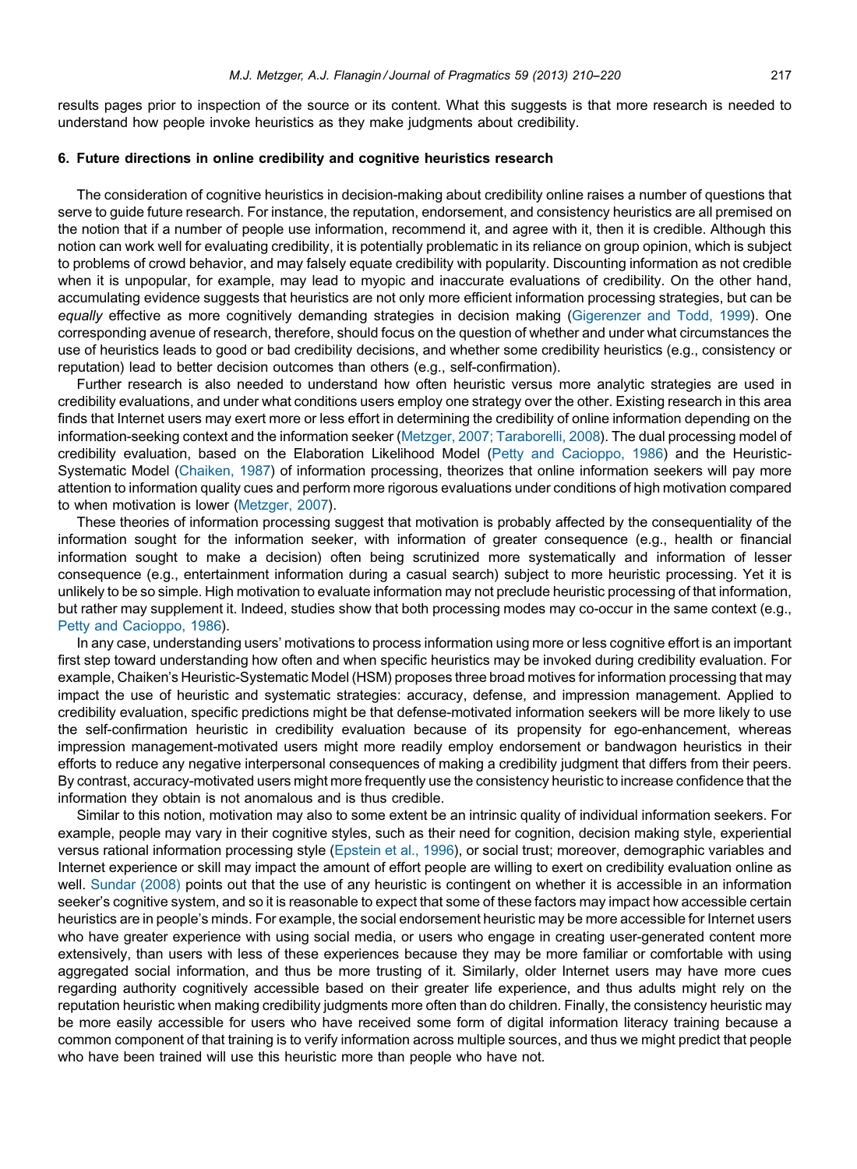results pages prior to inspection of the source or its content. What this suggests is that more research is needed to understand how people invoke heuristics as they make judgments about credibility.

### 6. Future directions in online credibility and cognitive heuristics research

The consideration of cognitive heuristics in decision-making about credibility online raises a number of questions that serve to guide future research. For instance, the reputation, endorsement, and consistency heuristics are all premised on the notion that if a number of people use information, recommend it, and agree with it, then it is credible. Although this notion can work well for evaluating credibility, it is potentially problematic in its reliance on group opinion, which is subject to problems of crowd behavior, and may falsely equate credibility with popularity. Discounting information as not credible when it is unpopular, for example, may lead to myopic and inaccurate evaluations of credibility. On the other hand, accumulating evidence suggests that heuristics are not only more efficient information processing strategies, but can be equally effective as more cognitively demanding strategies in decision making ([Gigerenzer](#page-9-0) and Todd, 1999). One corresponding avenue of research, therefore, should focus on the question of whether and under what circumstances the use of heuristics leads to good or bad credibility decisions, and whether some credibility heuristics (e.g., consistency or reputation) lead to better decision outcomes than others (e.g., self-confirmation).

Further research is also needed to understand how often heuristic versus more analytic strategies are used in credibility evaluations, and under what conditions users employ one strategy over the other. Existing research in this area finds that Internet users may exert more or less effort in determining the credibility of online information depending on the information-seeking context and the information seeker (Metzger, 2007; [Taraborelli,](#page-9-0) 2008). The dual processing model of credibility evaluation, based on the Elaboration Likelihood Model (Petty and [Cacioppo,](#page-9-0) 1986) and the Heuristic-Systematic Model ([Chaiken,](#page-9-0) 1987) of information processing, theorizes that online information seekers will pay more attention to information quality cues and perform more rigorous evaluations under conditions of high motivation compared to when motivation is lower [\(Metzger,](#page-9-0) 2007).

These theories of information processing suggest that motivation is probably affected by the consequentiality of the information sought for the information seeker, with information of greater consequence (e.g., health or financial information sought to make a decision) often being scrutinized more systematically and information of lesser consequence (e.g., entertainment information during a casual search) subject to more heuristic processing. Yet it is unlikely to be so simple. High motivation to evaluate information may not preclude heuristic processing of that information, but rather may supplement it. Indeed, studies show that both processing modes may co-occur in the same context (e.g., Petty and [Cacioppo,](#page-9-0) 1986).

In any case, understanding users' motivations to process information using more or less cognitive effort is an important first step toward understanding how often and when specific heuristics may be invoked during credibility evaluation. For example, Chaiken's Heuristic-Systematic Model (HSM) proposes three broad motives for information processing that may impact the use of heuristic and systematic strategies: accuracy, defense, and impression management. Applied to credibility evaluation, specific predictions might be that defense-motivated information seekers will be more likely to use the self-confirmation heuristic in credibility evaluation because of its propensity for ego-enhancement, whereas impression management-motivated users might more readily employ endorsement or bandwagon heuristics in their efforts to reduce any negative interpersonal consequences of making a credibility judgment that differs from their peers. By contrast, accuracy-motivated users might more frequently use the consistency heuristic to increase confidence that the information they obtain is not anomalous and is thus credible.

Similar to this notion, motivation may also to some extent be an intrinsic quality of individual information seekers. For example, people may vary in their cognitive styles, such as their need for cognition, decision making style, experiential versus rational information processing style ([Epstein](#page-9-0) et al., 1996), or social trust; moreover, demographic variables and Internet experience or skill may impact the amount of effort people are willing to exert on credibility evaluation online as well. [Sundar](#page-10-0) (2008) points out that the use of any heuristic is contingent on whether it is accessible in an information seeker's cognitive system, and so it is reasonable to expect that some of these factors may impact how accessible certain heuristics are in people's minds. For example, the social endorsement heuristic may be more accessible for Internet users who have greater experience with using social media, or users who engage in creating user-generated content more extensively, than users with less of these experiences because they may be more familiar or comfortable with using aggregated social information, and thus be more trusting of it. Similarly, older Internet users may have more cues regarding authority cognitively accessible based on their greater life experience, and thus adults might rely on the reputation heuristic when making credibility judgments more often than do children. Finally, the consistency heuristic may be more easily accessible for users who have received some form of digital information literacy training because a common component of that training is to verify information across multiple sources, and thus we might predict that people who have been trained will use this heuristic more than people who have not.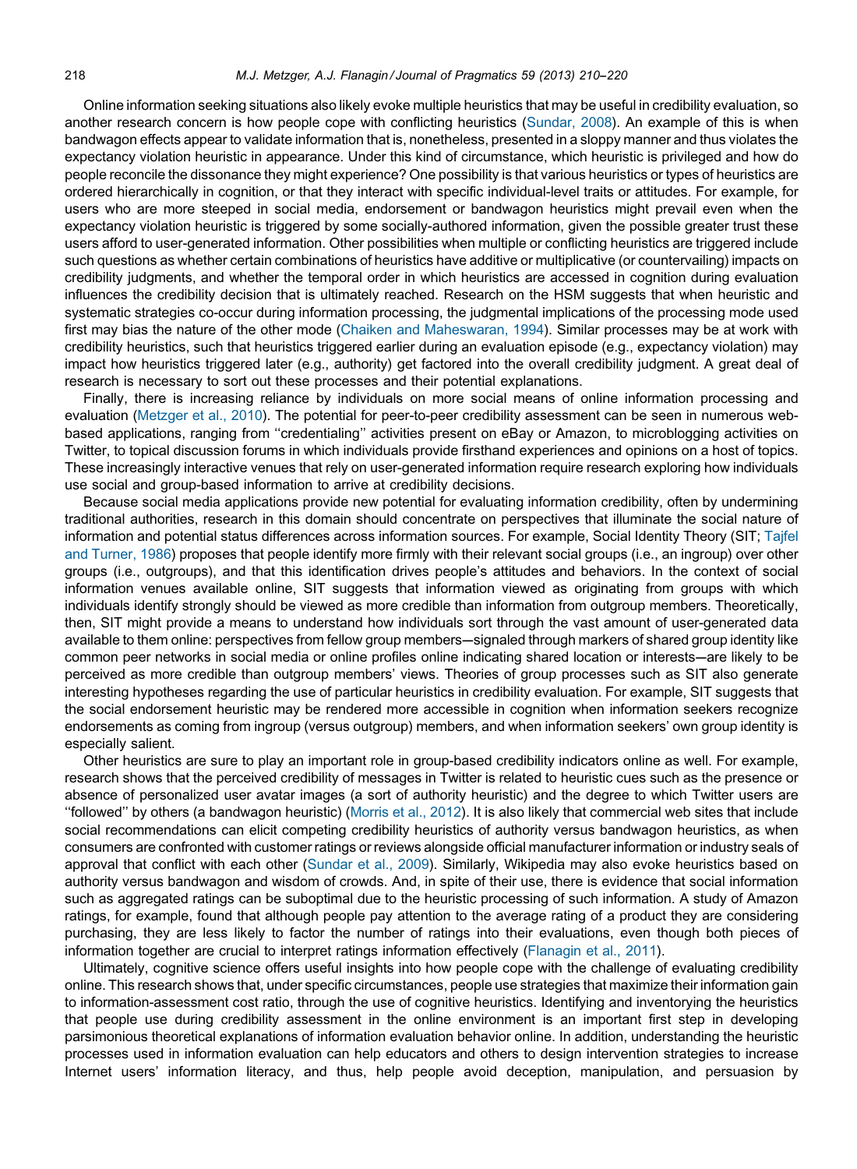Online information seeking situations also likely evoke multiple heuristics that may be useful in credibility evaluation, so another research concern is how people cope with conflicting heuristics ([Sundar,](#page-10-0) 2008). An example of this is when bandwagon effects appear to validate information that is, nonetheless, presented in a sloppy manner and thus violates the expectancy violation heuristic in appearance. Under this kind of circumstance, which heuristic is privileged and how do people reconcile the dissonance they might experience? One possibility is that various heuristics or types of heuristics are ordered hierarchically in cognition, or that they interact with specific individual-level traits or attitudes. For example, for users who are more steeped in social media, endorsement or bandwagon heuristics might prevail even when the expectancy violation heuristic is triggered by some socially-authored information, given the possible greater trust these users afford to user-generated information. Other possibilities when multiple or conflicting heuristics are triggered include such questions as whether certain combinations of heuristics have additive or multiplicative (or countervailing) impacts on credibility judgments, and whether the temporal order in which heuristics are accessed in cognition during evaluation influences the credibility decision that is ultimately reached. Research on the HSM suggests that when heuristic and systematic strategies co-occur during information processing, the judgmental implications of the processing mode used first may bias the nature of the other mode (Chaiken and [Maheswaran,](#page-9-0) 1994). Similar processes may be at work with credibility heuristics, such that heuristics triggered earlier during an evaluation episode (e.g., expectancy violation) may impact how heuristics triggered later (e.g., authority) get factored into the overall credibility judgment. A great deal of research is necessary to sort out these processes and their potential explanations.

Finally, there is increasing reliance by individuals on more social means of online information processing and evaluation [\(Metzger](#page-9-0) et al., 2010). The potential for peer-to-peer credibility assessment can be seen in numerous webbased applications, ranging from ''credentialing'' activities present on eBay or Amazon, to microblogging activities on Twitter, to topical discussion forums in which individuals provide firsthand experiences and opinions on a host of topics. These increasingly interactive venues that rely on user-generated information require research exploring how individuals use social and group-based information to arrive at credibility decisions.

Because social media applications provide new potential for evaluating information credibility, often by undermining traditional authorities, research in this domain should concentrate on perspectives that illuminate the social nature of information and potential status differences across information sources. For example, Social Identity Theory (SIT; [Tajfel](#page-10-0) and [Turner,](#page-10-0) 1986) proposes that people identify more firmly with their relevant social groups (i.e., an ingroup) over other groups (i.e., outgroups), and that this identification drives people's attitudes and behaviors. In the context of social information venues available online, SIT suggests that information viewed as originating from groups with which individuals identify strongly should be viewed as more credible than information from outgroup members. Theoretically, then, SIT might provide a means to understand how individuals sort through the vast amount of user-generated data available to them online: perspectives from fellow group members--signaled through markers of shared group identity like common peer networks in social media or online profiles online indicating shared location or interests—are likely to be perceived as more credible than outgroup members' views. Theories of group processes such as SIT also generate interesting hypotheses regarding the use of particular heuristics in credibility evaluation. For example, SIT suggests that the social endorsement heuristic may be rendered more accessible in cognition when information seekers recognize endorsements as coming from ingroup (versus outgroup) members, and when information seekers' own group identity is especially salient.

Other heuristics are sure to play an important role in group-based credibility indicators online as well. For example, research shows that the perceived credibility of messages in Twitter is related to heuristic cues such as the presence or absence of personalized user avatar images (a sort of authority heuristic) and the degree to which Twitter users are ''followed'' by others (a bandwagon heuristic) ([Morris](#page-9-0) et al., 2012). It is also likely that commercial web sites that include social recommendations can elicit competing credibility heuristics of authority versus bandwagon heuristics, as when consumers are confronted with customer ratings or reviews alongside official manufacturer information or industry seals of approval that conflict with each other [\(Sundar](#page-10-0) et al., 2009). Similarly, Wikipedia may also evoke heuristics based on authority versus bandwagon and wisdom of crowds. And, in spite of their use, there is evidence that social information such as aggregated ratings can be suboptimal due to the heuristic processing of such information. A study of Amazon ratings, for example, found that although people pay attention to the average rating of a product they are considering purchasing, they are less likely to factor the number of ratings into their evaluations, even though both pieces of information together are crucial to interpret ratings information effectively [\(Flanagin](#page-9-0) et al., 2011).

Ultimately, cognitive science offers useful insights into how people cope with the challenge of evaluating credibility online. This research shows that, under specific circumstances, people use strategies that maximize their information gain to information-assessment cost ratio, through the use of cognitive heuristics. Identifying and inventorying the heuristics that people use during credibility assessment in the online environment is an important first step in developing parsimonious theoretical explanations of information evaluation behavior online. In addition, understanding the heuristic processes used in information evaluation can help educators and others to design intervention strategies to increase Internet users' information literacy, and thus, help people avoid deception, manipulation, and persuasion by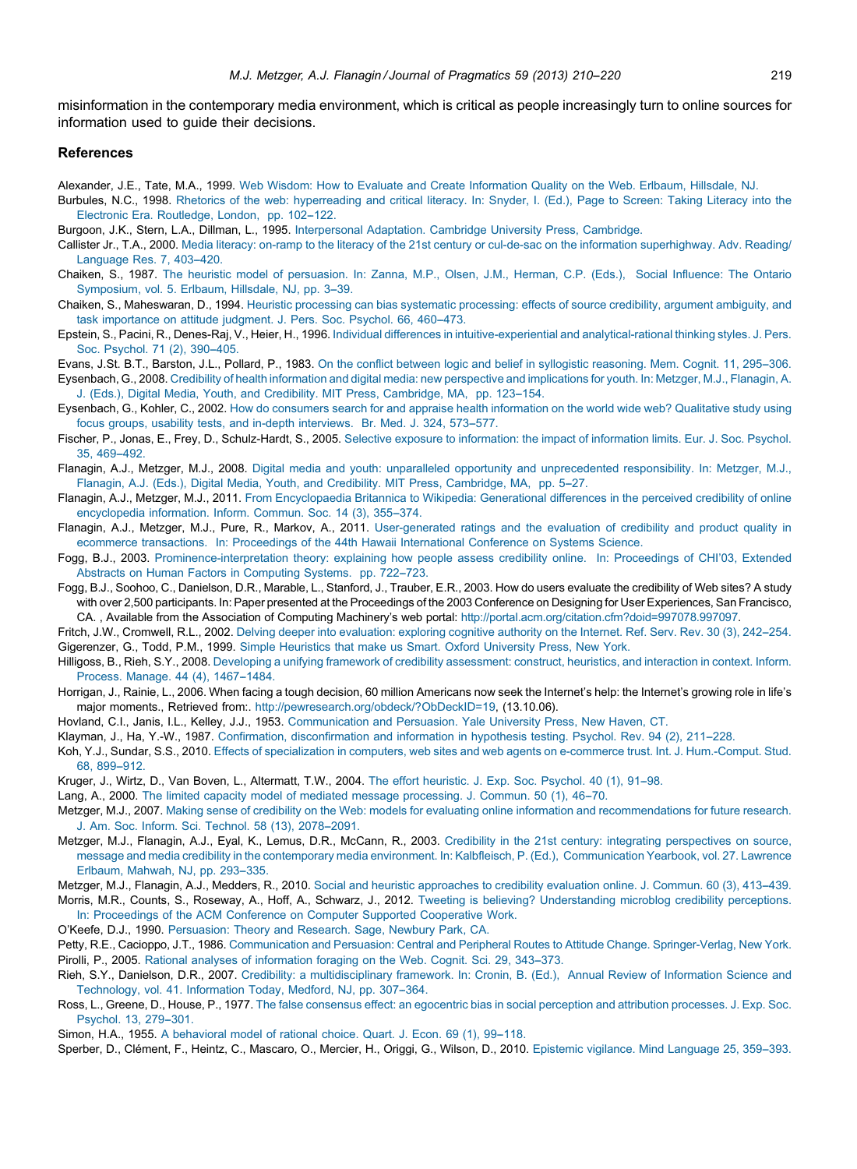<span id="page-9-0"></span>misinformation in the contemporary media environment, which is critical as people increasingly turn to online sources for information used to guide their decisions.

#### **References**

- Alexander, J.E., Tate, M.A., 1999. Web Wisdom: How to Evaluate and Create [Information](http://refhub.elsevier.com/S0378-2166(13)00176-8/sbref0005) Quality on the Web. Erlbaum, Hillsdale, NJ.
- Burbules, N.C., 1998. Rhetorics of the web: [hyperreading](http://refhub.elsevier.com/S0378-2166(13)00176-8/sbref0010) and critical literacy. In: Snyder, I. (Ed.), Page to Screen: Taking Literacy into the Electronic Era. [Routledge,](http://refhub.elsevier.com/S0378-2166(13)00176-8/sbref0010) London, pp. 102-122.
- Burgoon, J.K., Stern, L.A., Dillman, L., 1995. [Interpersonal](http://refhub.elsevier.com/S0378-2166(13)00176-8/sbref0015) Adaptation. Cambridge University Press, Cambridge.
- Callister Jr., T.A., 2000. Media literacy: on-ramp to the literacy of the 21st century or cul-de-sac on the information [superhighway.](http://refhub.elsevier.com/S0378-2166(13)00176-8/sbref0020) Adv. Reading/ [Language](http://refhub.elsevier.com/S0378-2166(13)00176-8/sbref0020) Res. 7, 403-420.
- Chaiken, S., 1987. The heuristic model of [persuasion.](http://refhub.elsevier.com/S0378-2166(13)00176-8/sbref0025) In: Zanna, M.P., Olsen, J.M., Herman, C.P. (Eds.), Social [Influence:](http://refhub.elsevier.com/S0378-2166(13)00176-8/sbref0025) The Ontario [Symposium,](http://refhub.elsevier.com/S0378-2166(13)00176-8/sbref0025) vol. 5. Erlbaum, Hillsdale, NJ, pp. 3-39.
- Chaiken, S., Maheswaran, D., 1994. Heuristic processing can bias systematic [processing:](http://refhub.elsevier.com/S0378-2166(13)00176-8/sbref0030) effects of source credibility, argument ambiguity, and task [importance](http://refhub.elsevier.com/S0378-2166(13)00176-8/sbref0030) on attitude judgment. J. Pers. Soc. Psychol. 66, 460-473.
- Epstein, S., Pacini, R., Denes-Raj, V., Heier, H., 1996. Individual differences in [intuitive-experiential](http://refhub.elsevier.com/S0378-2166(13)00176-8/sbref0035) and analytical-rational thinking styles. J. Pers. Soc. Psychol. 71 (2), 390-405.
- Evans, J.St. B.T., Barston, J.L., Pollard, P., 1983. On the conflict between logic and belief in syllogistic [reasoning.](http://refhub.elsevier.com/S0378-2166(13)00176-8/sbref0040) Mem. Cognit. 11, 295-306.
- Eysenbach, G., 2008. Credibility of health information and digital media: new perspective and [implications](http://refhub.elsevier.com/S0378-2166(13)00176-8/sbref0045) for youth. In: Metzger, M.J., Flanagin, A. J. (Eds.), Digital Media, Youth, and Credibility. MIT Press, [Cambridge,](http://refhub.elsevier.com/S0378-2166(13)00176-8/sbref0045) MA, pp. 123--154.
- Eysenbach, G., Kohler, C., 2002. How do consumers search for and appraise health [information](http://refhub.elsevier.com/S0378-2166(13)00176-8/sbref0050) on the world wide web? Qualitative study using focus groups, usability tests, and in-depth [interviews.](http://refhub.elsevier.com/S0378-2166(13)00176-8/sbref0050) Br. Med. J. 324, 573-577.
- Fischer, P., Jonas, E., Frey, D., Schulz-Hardt, S., 2005. Selective exposure to [information:](http://refhub.elsevier.com/S0378-2166(13)00176-8/sbref0055) the impact of information limits. Eur. J. Soc. Psychol. 35, 469-492
- Flanagin, A.J., Metzger, M.J., 2008. Digital media and youth: unparalleled opportunity and [unprecedented](http://refhub.elsevier.com/S0378-2166(13)00176-8/sbref0060) responsibility. In: Metzger, M.J., Flanagin, A.J. (Eds.), Digital Media, Youth, and Credibility. MIT Press, [Cambridge,](http://refhub.elsevier.com/S0378-2166(13)00176-8/sbref0060) MA, pp. 5-27.
- Flanagin, A.J., Metzger, M.J., 2011. From [Encyclopaedia](http://refhub.elsevier.com/S0378-2166(13)00176-8/sbref0065) Britannica to Wikipedia: Generational differences in the perceived credibility of online [encyclopedia](http://refhub.elsevier.com/S0378-2166(13)00176-8/sbref0065) information. Inform. Commun. Soc. 14 (3), 355--374.
- Flanagin, A.J., Metzger, M.J., Pure, R., Markov, A., 2011. [User-generated](http://refhub.elsevier.com/S0378-2166(13)00176-8/sbref0070) ratings and the evaluation of credibility and product quality in ecommerce [transactions.](http://refhub.elsevier.com/S0378-2166(13)00176-8/sbref0070) In: Proceedings of the 44th Hawaii International Conference on Systems Science.
- Fogg, B.J., 2003. [Prominence-interpretation](http://refhub.elsevier.com/S0378-2166(13)00176-8/sbref0075) theory: explaining how people assess credibility online. In: Proceedings of CHI'03, Extended Abstracts on Human Factors in [Computing](http://refhub.elsevier.com/S0378-2166(13)00176-8/sbref0075) Systems. pp. 722--723.
- Fogg, B.J., Soohoo, C., Danielson, D.R., Marable, L., Stanford, J., Trauber, E.R., 2003. How do users evaluate the credibility of Web sites? A study with over 2,500 participants. In: Paper presented at the Proceedings of the 2003 Conference on Designing for User Experiences, San Francisco, CA. , Available from the Association of Computing Machinery's web portal: [http://portal.acm.org/citation.cfm?doid=997078.997097.](http://portal.acm.org/citation.cfm%3Fdoid=997078.997097)
- Fritch, J.W., Cromwell, R.L., 2002. Delving deeper into [evaluation:](http://refhub.elsevier.com/S0378-2166(13)00176-8/sbref0085) exploring cognitive authority on the Internet. Ref. Serv. Rev. 30 (3), 242-254. Gigerenzer, G., Todd, P.M., 1999. Simple Heuristics that make us Smart. Oxford [University](http://refhub.elsevier.com/S0378-2166(13)00176-8/sbref0090) Press, New York.
- Hilligoss, B., Rieh, S.Y., 2008. Developing a unifying framework of credibility [assessment:](http://refhub.elsevier.com/S0378-2166(13)00176-8/sbref0095) construct, heuristics, and interaction in context. Inform. Process. Manage. 44 (4), 1467-1484.
- Horrigan, J., Rainie, L., 2006. When facing a tough decision, 60 million Americans now seek the Internet's help: the Internet's growing role in life's major moments., Retrieved from:. [http://pewresearch.org/obdeck/?ObDeckID=19,](http://pewresearch.org/obdeck/%3FObDeckID=19) (13.10.06).
- Hovland, C.I., Janis, I.L., Kelley, J.J., 1953. [Communication](http://refhub.elsevier.com/S0378-2166(13)00176-8/sbref0105) and Persuasion. Yale University Press, New Haven, CT.
- Klayman, J., Ha, Y.-W., 1987. Confirmation, [disconfirmation](http://refhub.elsevier.com/S0378-2166(13)00176-8/sbref0110) and information in hypothesis testing. Psychol. Rev. 94 (2), 211-228.
- Koh, Y.J., Sundar, S.S., 2010. Effects of specialization in computers, web sites and web agents on e-commerce trust. Int. J. [Hum.-Comput.](http://refhub.elsevier.com/S0378-2166(13)00176-8/sbref0115) Stud. 68, 899-912.
- Kruger, J., Wirtz, D., Van Boven, L., Altermatt, T.W., 2004. The effort [heuristic.](http://refhub.elsevier.com/S0378-2166(13)00176-8/sbref0120) J. Exp. Soc. Psychol. 40 (1), 91--98.
- Lang, A., 2000. The limited capacity model of mediated message [processing.](http://refhub.elsevier.com/S0378-2166(13)00176-8/sbref0125) J. Commun. 50 (1), 46-70.
- Metzger, M.J., 2007. Making sense of credibility on the Web: models for evaluating online information and [recommendations](http://refhub.elsevier.com/S0378-2166(13)00176-8/sbref0130) for future research. J. Am. Soc. Inform. Sci. Technol. 58 (13), [2078--2091.](http://refhub.elsevier.com/S0378-2166(13)00176-8/sbref0130)
- Metzger, M.J., Flanagin, A.J., Eyal, K., Lemus, D.R., McCann, R., 2003. Credibility in the 21st century: integrating [perspectives](http://refhub.elsevier.com/S0378-2166(13)00176-8/sbref0135) on source, message and media credibility in the contemporary media environment. In: Kalbfleisch, P. (Ed.), [Communication](http://refhub.elsevier.com/S0378-2166(13)00176-8/sbref0135) Yearbook, vol. 27. Lawrence Erlbaum, [Mahwah,](http://refhub.elsevier.com/S0378-2166(13)00176-8/sbref0135) NJ, pp. 293-335.
- Metzger, M.J., Flanagin, A.J., Medders, R., 2010. Social and heuristic [approaches](http://refhub.elsevier.com/S0378-2166(13)00176-8/sbref0140) to credibility evaluation online. J. Commun. 60 (3), 413-439.
- Morris, M.R., Counts, S., Roseway, A., Hoff, A., Schwarz, J., 2012. Tweeting is believing? [Understanding](http://refhub.elsevier.com/S0378-2166(13)00176-8/sbref0145) microblog credibility perceptions. In: [Proceedings](http://refhub.elsevier.com/S0378-2166(13)00176-8/sbref0145) of the ACM Conference on Computer Supported Cooperative Work.
- O'Keefe, D.J., 1990. [Persuasion:](http://refhub.elsevier.com/S0378-2166(13)00176-8/sbref0150) Theory and Research. Sage, Newbury Park, CA.
- Petty, R.E., Cacioppo, J.T., 1986. Communication and Persuasion: Central and Peripheral Routes to Attitude Change. [Springer-Verlag,](http://refhub.elsevier.com/S0378-2166(13)00176-8/sbref0155) New York. Pirolli, P., 2005. Rational analyses of [information](http://refhub.elsevier.com/S0378-2166(13)00176-8/sbref0160) foraging on the Web. Cognit. Sci. 29, 343-373.
- Rieh, S.Y., Danielson, D.R., 2007. Credibility: a [multidisciplinary](http://refhub.elsevier.com/S0378-2166(13)00176-8/sbref0165) framework. In: Cronin, B. (Ed.), Annual Review of Information Science and [Technology,](http://refhub.elsevier.com/S0378-2166(13)00176-8/sbref0165) vol. 41. Information Today, Medford, NJ, pp. 307-364.
- Ross, L., Greene, D., House, P., 1977. The false consensus effect: an egocentric bias in social perception and attribution [processes.](http://refhub.elsevier.com/S0378-2166(13)00176-8/sbref0170) J. Exp. Soc. Psychol. 13, 279-301.
- Simon, H.A., 1955. A [behavioral](http://refhub.elsevier.com/S0378-2166(13)00176-8/sbref0175) model of rational choice. Quart. J. Econ. 69 (1), 99--118.
- Sperber, D., Clément, F., Heintz, C., Mascaro, O., Mercier, H., Origgi, G., Wilson, D., 2010. Epistemic vigilance. Mind [Language](http://refhub.elsevier.com/S0378-2166(13)00176-8/sbref0180) 25, 359-393.